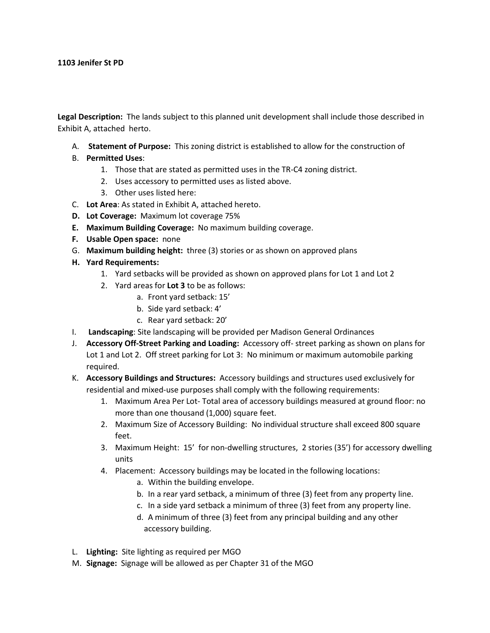**Legal Description:** The lands subject to this planned unit development shall include those described in Exhibit A, attached herto.

- A. **Statement of Purpose:** This zoning district is established to allow for the construction of
- B. **Permitted Uses**:
	- 1. Those that are stated as permitted uses in the TR-C4 zoning district.
	- 2. Uses accessory to permitted uses as listed above.
	- 3. Other uses listed here:
- C. **Lot Area**: As stated in Exhibit A, attached hereto.
- **D. Lot Coverage:** Maximum lot coverage 75%
- **E. Maximum Building Coverage:** No maximum building coverage.
- **F. Usable Open space:** none
- G. **Maximum building height:** three (3) stories or as shown on approved plans
- **H. Yard Requirements:** 
	- 1. Yard setbacks will be provided as shown on approved plans for Lot 1 and Lot 2
	- 2. Yard areas for **Lot 3** to be as follows:
		- a. Front yard setback: 15'
		- b. Side yard setback: 4'
		- c. Rear yard setback: 20'
- I. **Landscaping**: Site landscaping will be provided per Madison General Ordinances
- J. **Accessory Off-Street Parking and Loading:** Accessory off- street parking as shown on plans for Lot 1 and Lot 2. Off street parking for Lot 3: No minimum or maximum automobile parking required.
- K. **Accessory Buildings and Structures:** Accessory buildings and structures used exclusively for residential and mixed-use purposes shall comply with the following requirements:
	- 1. Maximum Area Per Lot- Total area of accessory buildings measured at ground floor: no more than one thousand (1,000) square feet.
	- 2. Maximum Size of Accessory Building: No individual structure shall exceed 800 square feet.
	- 3. Maximum Height: 15' for non-dwelling structures, 2 stories (35') for accessory dwelling units
	- 4. Placement: Accessory buildings may be located in the following locations:
		- a. Within the building envelope.
		- b. In a rear yard setback, a minimum of three (3) feet from any property line.
		- c. In a side yard setback a minimum of three (3) feet from any property line.
		- d. A minimum of three (3) feet from any principal building and any other accessory building.
- L. **Lighting:** Site lighting as required per MGO
- M. **Signage:** Signage will be allowed as per Chapter 31 of the MGO